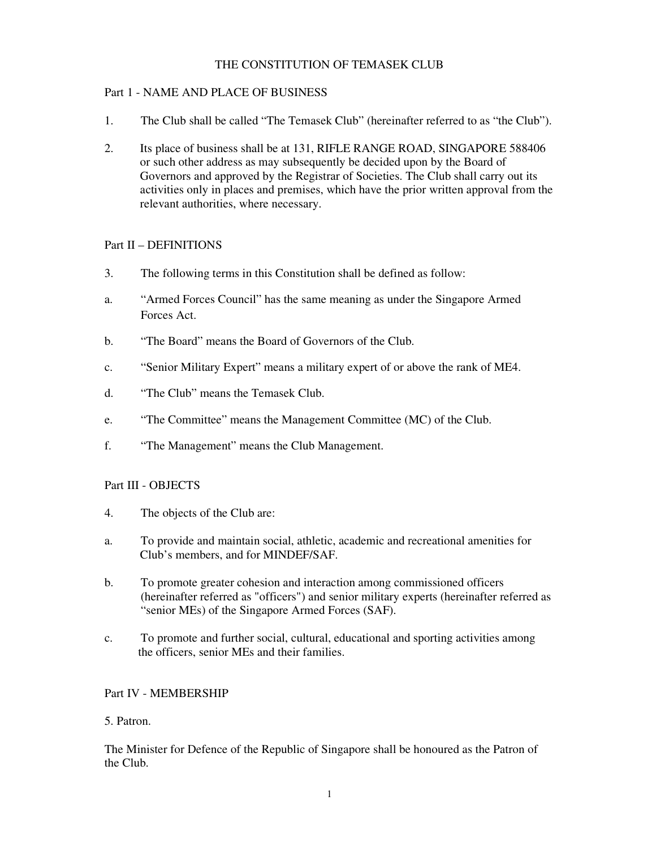# THE CONSTITUTION OF TEMASEK CLUB

## Part 1 - NAME AND PLACE OF BUSINESS

- 1. The Club shall be called "The Temasek Club" (hereinafter referred to as "the Club").
- 2. Its place of business shall be at 131, RIFLE RANGE ROAD, SINGAPORE 588406 or such other address as may subsequently be decided upon by the Board of Governors and approved by the Registrar of Societies. The Club shall carry out its activities only in places and premises, which have the prior written approval from the relevant authorities, where necessary.

## Part II – DEFINITIONS

- 3. The following terms in this Constitution shall be defined as follow:
- a. "Armed Forces Council" has the same meaning as under the Singapore Armed Forces Act.
- b. "The Board" means the Board of Governors of the Club.
- c. "Senior Military Expert" means a military expert of or above the rank of ME4.
- d. "The Club" means the Temasek Club.
- e. "The Committee" means the Management Committee (MC) of the Club.
- f. "The Management" means the Club Management.

### Part III - OBJECTS

- 4. The objects of the Club are:
- a. To provide and maintain social, athletic, academic and recreational amenities for Club's members, and for MINDEF/SAF.
- b. To promote greater cohesion and interaction among commissioned officers (hereinafter referred as "officers") and senior military experts (hereinafter referred as "senior MEs) of the Singapore Armed Forces (SAF).
- c. To promote and further social, cultural, educational and sporting activities among the officers, senior MEs and their families.

### Part IV - MEMBERSHIP

### 5. Patron.

The Minister for Defence of the Republic of Singapore shall be honoured as the Patron of the Club.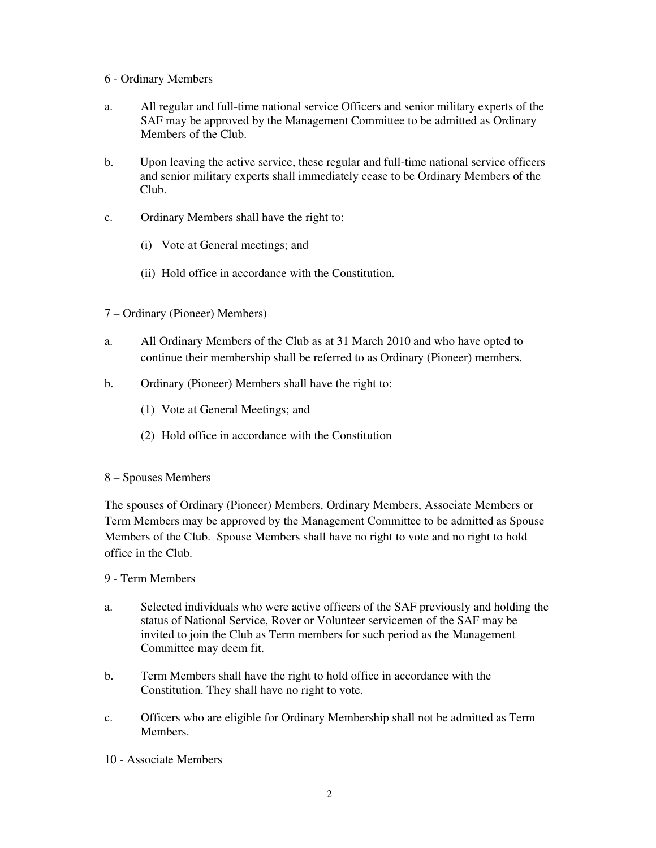## 6 - Ordinary Members

- a. All regular and full-time national service Officers and senior military experts of the SAF may be approved by the Management Committee to be admitted as Ordinary Members of the Club.
- b. Upon leaving the active service, these regular and full-time national service officers and senior military experts shall immediately cease to be Ordinary Members of the Club.
- c. Ordinary Members shall have the right to:
	- (i) Vote at General meetings; and
	- (ii) Hold office in accordance with the Constitution.
- 7 Ordinary (Pioneer) Members)
- a. All Ordinary Members of the Club as at 31 March 2010 and who have opted to continue their membership shall be referred to as Ordinary (Pioneer) members.
- b. Ordinary (Pioneer) Members shall have the right to:
	- (1) Vote at General Meetings; and
	- (2) Hold office in accordance with the Constitution

### 8 – Spouses Members

The spouses of Ordinary (Pioneer) Members, Ordinary Members, Associate Members or Term Members may be approved by the Management Committee to be admitted as Spouse Members of the Club. Spouse Members shall have no right to vote and no right to hold office in the Club.

### 9 - Term Members

- a. Selected individuals who were active officers of the SAF previously and holding the status of National Service, Rover or Volunteer servicemen of the SAF may be invited to join the Club as Term members for such period as the Management Committee may deem fit.
- b. Term Members shall have the right to hold office in accordance with the Constitution. They shall have no right to vote.
- c. Officers who are eligible for Ordinary Membership shall not be admitted as Term Members.
- 10 Associate Members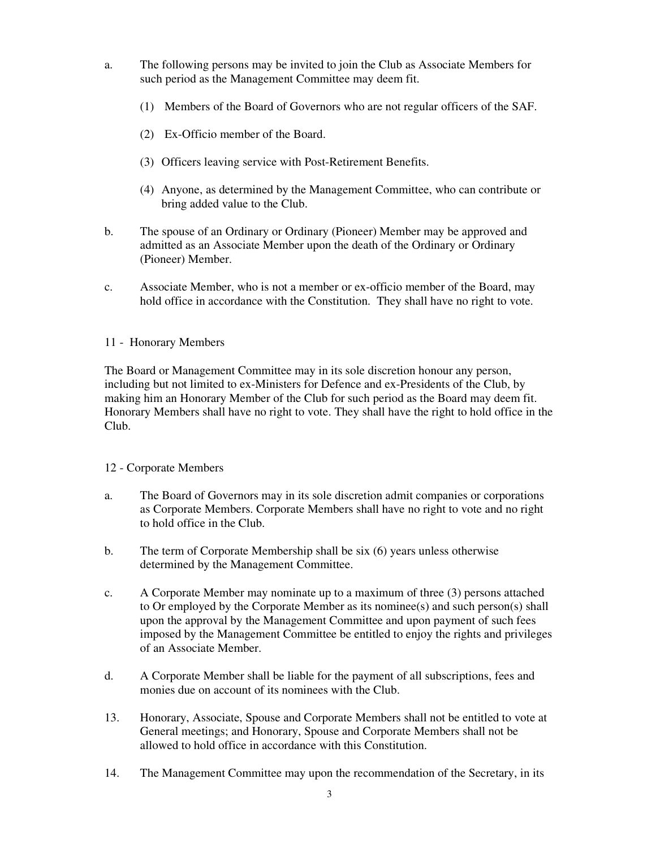- a. The following persons may be invited to join the Club as Associate Members for such period as the Management Committee may deem fit.
	- (1) Members of the Board of Governors who are not regular officers of the SAF.
	- (2) Ex-Officio member of the Board.
	- (3) Officers leaving service with Post-Retirement Benefits.
	- (4) Anyone, as determined by the Management Committee, who can contribute or bring added value to the Club.
- b. The spouse of an Ordinary or Ordinary (Pioneer) Member may be approved and admitted as an Associate Member upon the death of the Ordinary or Ordinary (Pioneer) Member.
- c. Associate Member, who is not a member or ex-officio member of the Board, may hold office in accordance with the Constitution. They shall have no right to vote.

#### 11 - Honorary Members

The Board or Management Committee may in its sole discretion honour any person, including but not limited to ex-Ministers for Defence and ex-Presidents of the Club, by making him an Honorary Member of the Club for such period as the Board may deem fit. Honorary Members shall have no right to vote. They shall have the right to hold office in the Club.

### 12 - Corporate Members

- a. The Board of Governors may in its sole discretion admit companies or corporations as Corporate Members. Corporate Members shall have no right to vote and no right to hold office in the Club.
- b. The term of Corporate Membership shall be six (6) years unless otherwise determined by the Management Committee.
- c. A Corporate Member may nominate up to a maximum of three (3) persons attached to Or employed by the Corporate Member as its nominee(s) and such person(s) shall upon the approval by the Management Committee and upon payment of such fees imposed by the Management Committee be entitled to enjoy the rights and privileges of an Associate Member.
- d. A Corporate Member shall be liable for the payment of all subscriptions, fees and monies due on account of its nominees with the Club.
- 13. Honorary, Associate, Spouse and Corporate Members shall not be entitled to vote at General meetings; and Honorary, Spouse and Corporate Members shall not be allowed to hold office in accordance with this Constitution.
- 14. The Management Committee may upon the recommendation of the Secretary, in its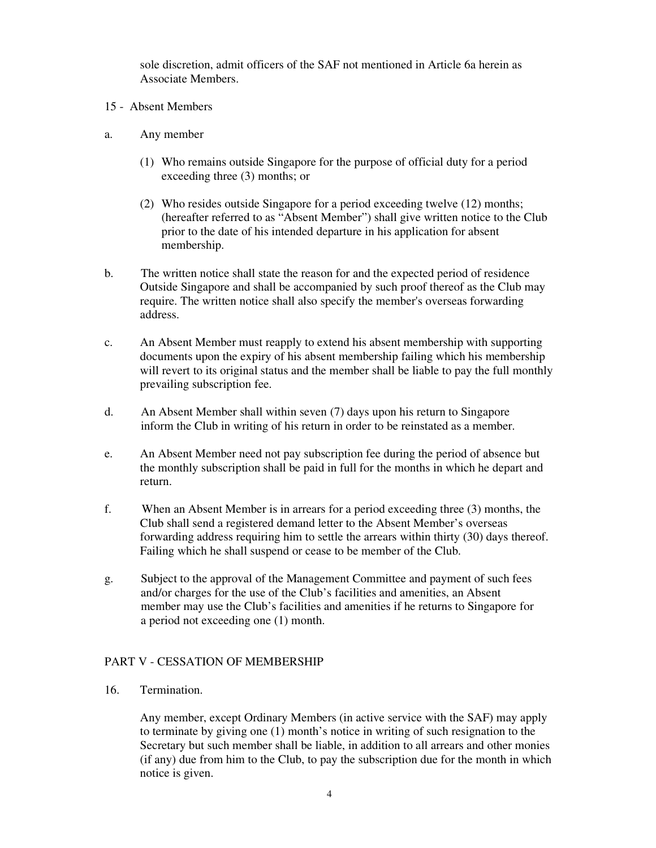sole discretion, admit officers of the SAF not mentioned in Article 6a herein as Associate Members.

- 15 Absent Members
- a. Any member
	- (1) Who remains outside Singapore for the purpose of official duty for a period exceeding three (3) months; or
	- (2) Who resides outside Singapore for a period exceeding twelve (12) months; (hereafter referred to as "Absent Member") shall give written notice to the Club prior to the date of his intended departure in his application for absent membership.
- b. The written notice shall state the reason for and the expected period of residence Outside Singapore and shall be accompanied by such proof thereof as the Club may require. The written notice shall also specify the member's overseas forwarding address.
- c. An Absent Member must reapply to extend his absent membership with supporting documents upon the expiry of his absent membership failing which his membership will revert to its original status and the member shall be liable to pay the full monthly prevailing subscription fee.
- d. An Absent Member shall within seven (7) days upon his return to Singapore inform the Club in writing of his return in order to be reinstated as a member.
- e. An Absent Member need not pay subscription fee during the period of absence but the monthly subscription shall be paid in full for the months in which he depart and return.
- f. When an Absent Member is in arrears for a period exceeding three (3) months, the Club shall send a registered demand letter to the Absent Member's overseas forwarding address requiring him to settle the arrears within thirty (30) days thereof. Failing which he shall suspend or cease to be member of the Club.
- g. Subject to the approval of the Management Committee and payment of such fees and/or charges for the use of the Club's facilities and amenities, an Absent member may use the Club's facilities and amenities if he returns to Singapore for a period not exceeding one (1) month.

### PART V - CESSATION OF MEMBERSHIP

16. Termination.

Any member, except Ordinary Members (in active service with the SAF) may apply to terminate by giving one (1) month's notice in writing of such resignation to the Secretary but such member shall be liable, in addition to all arrears and other monies (if any) due from him to the Club, to pay the subscription due for the month in which notice is given.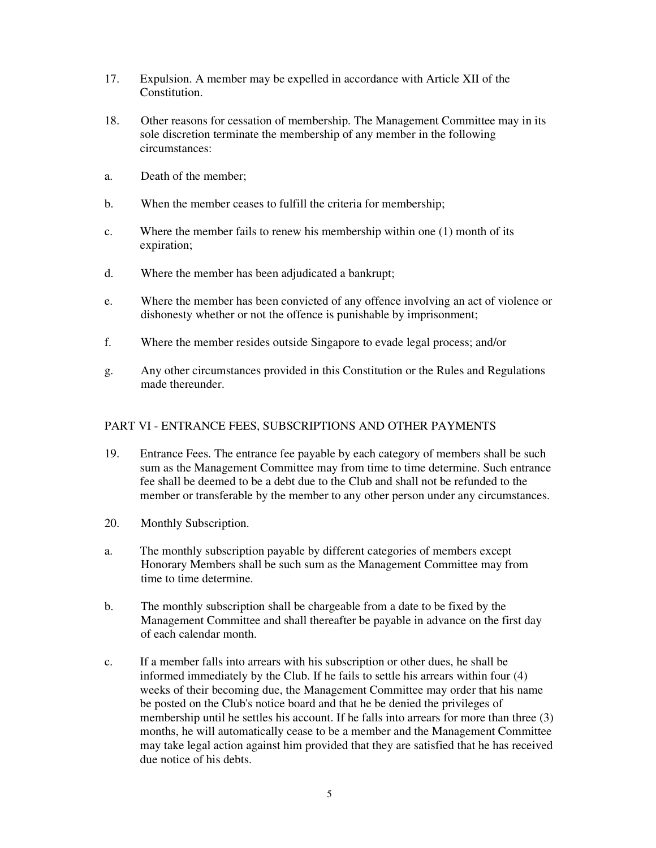- 17. Expulsion. A member may be expelled in accordance with Article XII of the **Constitution**
- 18. Other reasons for cessation of membership. The Management Committee may in its sole discretion terminate the membership of any member in the following circumstances:
- a. Death of the member;
- b. When the member ceases to fulfill the criteria for membership;
- c. Where the member fails to renew his membership within one (1) month of its expiration;
- d. Where the member has been adjudicated a bankrupt;
- e. Where the member has been convicted of any offence involving an act of violence or dishonesty whether or not the offence is punishable by imprisonment;
- f. Where the member resides outside Singapore to evade legal process; and/or
- g. Any other circumstances provided in this Constitution or the Rules and Regulations made thereunder.

#### PART VI - ENTRANCE FEES, SUBSCRIPTIONS AND OTHER PAYMENTS

- 19. Entrance Fees. The entrance fee payable by each category of members shall be such sum as the Management Committee may from time to time determine. Such entrance fee shall be deemed to be a debt due to the Club and shall not be refunded to the member or transferable by the member to any other person under any circumstances.
- 20. Monthly Subscription.
- a. The monthly subscription payable by different categories of members except Honorary Members shall be such sum as the Management Committee may from time to time determine.
- b. The monthly subscription shall be chargeable from a date to be fixed by the Management Committee and shall thereafter be payable in advance on the first day of each calendar month.
- c. If a member falls into arrears with his subscription or other dues, he shall be informed immediately by the Club. If he fails to settle his arrears within four (4) weeks of their becoming due, the Management Committee may order that his name be posted on the Club's notice board and that he be denied the privileges of membership until he settles his account. If he falls into arrears for more than three (3) months, he will automatically cease to be a member and the Management Committee may take legal action against him provided that they are satisfied that he has received due notice of his debts.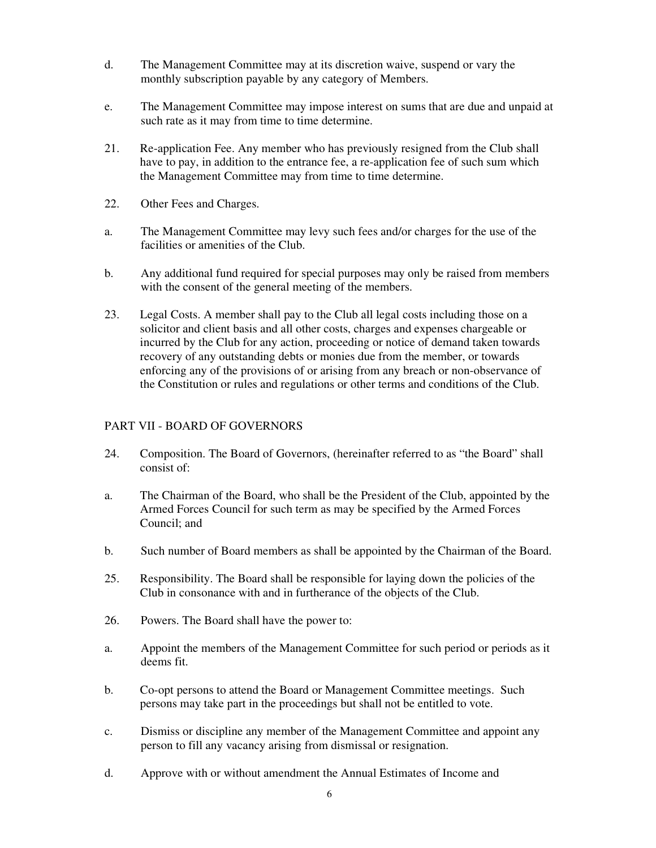- d. The Management Committee may at its discretion waive, suspend or vary the monthly subscription payable by any category of Members.
- e. The Management Committee may impose interest on sums that are due and unpaid at such rate as it may from time to time determine.
- 21. Re-application Fee. Any member who has previously resigned from the Club shall have to pay, in addition to the entrance fee, a re-application fee of such sum which the Management Committee may from time to time determine.
- 22. Other Fees and Charges.
- a. The Management Committee may levy such fees and/or charges for the use of the facilities or amenities of the Club.
- b. Any additional fund required for special purposes may only be raised from members with the consent of the general meeting of the members.
- 23. Legal Costs. A member shall pay to the Club all legal costs including those on a solicitor and client basis and all other costs, charges and expenses chargeable or incurred by the Club for any action, proceeding or notice of demand taken towards recovery of any outstanding debts or monies due from the member, or towards enforcing any of the provisions of or arising from any breach or non-observance of the Constitution or rules and regulations or other terms and conditions of the Club.

### PART VII - BOARD OF GOVERNORS

- 24. Composition. The Board of Governors, (hereinafter referred to as "the Board" shall consist of:
- a. The Chairman of the Board, who shall be the President of the Club, appointed by the Armed Forces Council for such term as may be specified by the Armed Forces Council; and
- b. Such number of Board members as shall be appointed by the Chairman of the Board.
- 25. Responsibility. The Board shall be responsible for laying down the policies of the Club in consonance with and in furtherance of the objects of the Club.
- 26. Powers. The Board shall have the power to:
- a. Appoint the members of the Management Committee for such period or periods as it deems fit.
- b. Co-opt persons to attend the Board or Management Committee meetings. Such persons may take part in the proceedings but shall not be entitled to vote.
- c. Dismiss or discipline any member of the Management Committee and appoint any person to fill any vacancy arising from dismissal or resignation.
- d. Approve with or without amendment the Annual Estimates of Income and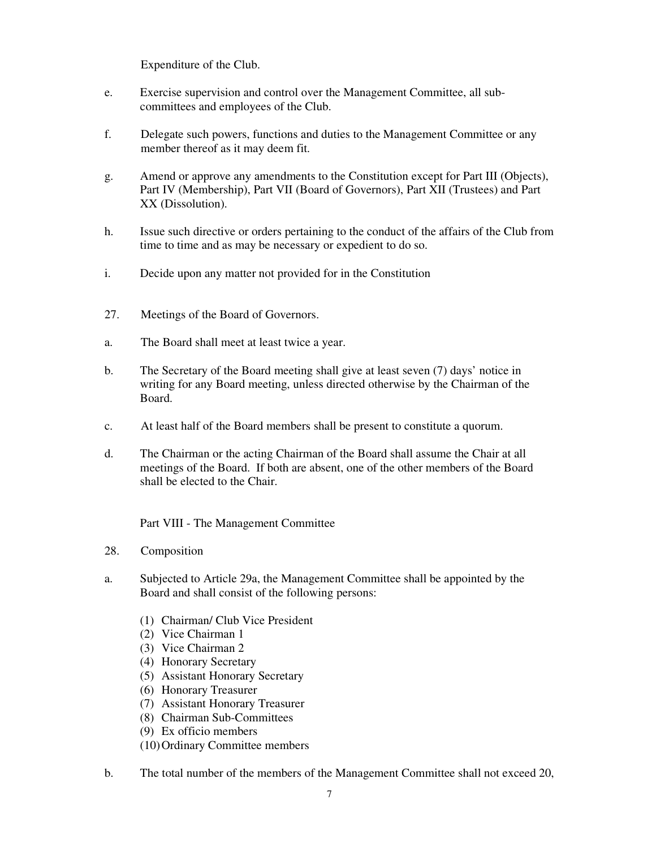Expenditure of the Club.

- e. Exercise supervision and control over the Management Committee, all subcommittees and employees of the Club.
- f. Delegate such powers, functions and duties to the Management Committee or any member thereof as it may deem fit.
- g. Amend or approve any amendments to the Constitution except for Part III (Objects), Part IV (Membership), Part VII (Board of Governors), Part XII (Trustees) and Part XX (Dissolution).
- h. Issue such directive or orders pertaining to the conduct of the affairs of the Club from time to time and as may be necessary or expedient to do so.
- i. Decide upon any matter not provided for in the Constitution
- 27. Meetings of the Board of Governors.
- a. The Board shall meet at least twice a year.
- b. The Secretary of the Board meeting shall give at least seven (7) days' notice in writing for any Board meeting, unless directed otherwise by the Chairman of the Board.
- c. At least half of the Board members shall be present to constitute a quorum.
- d. The Chairman or the acting Chairman of the Board shall assume the Chair at all meetings of the Board. If both are absent, one of the other members of the Board shall be elected to the Chair.

Part VIII - The Management Committee

- 28. Composition
- a. Subjected to Article 29a, the Management Committee shall be appointed by the Board and shall consist of the following persons:
	- (1) Chairman/ Club Vice President
	- (2) Vice Chairman 1
	- (3) Vice Chairman 2
	- (4) Honorary Secretary
	- (5) Assistant Honorary Secretary
	- (6) Honorary Treasurer
	- (7) Assistant Honorary Treasurer
	- (8) Chairman Sub-Committees
	- (9) Ex officio members
	- (10)Ordinary Committee members
- b. The total number of the members of the Management Committee shall not exceed 20,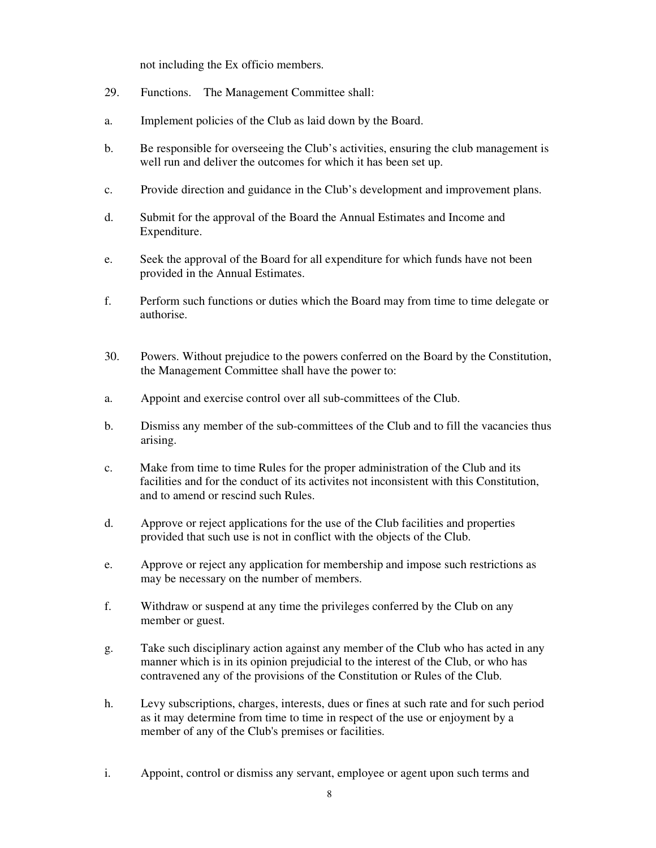not including the Ex officio members.

- 29. Functions. The Management Committee shall:
- a. Implement policies of the Club as laid down by the Board.
- b. Be responsible for overseeing the Club's activities, ensuring the club management is well run and deliver the outcomes for which it has been set up.
- c. Provide direction and guidance in the Club's development and improvement plans.
- d. Submit for the approval of the Board the Annual Estimates and Income and Expenditure.
- e. Seek the approval of the Board for all expenditure for which funds have not been provided in the Annual Estimates.
- f. Perform such functions or duties which the Board may from time to time delegate or authorise.
- 30. Powers. Without prejudice to the powers conferred on the Board by the Constitution, the Management Committee shall have the power to:
- a. Appoint and exercise control over all sub-committees of the Club.
- b. Dismiss any member of the sub-committees of the Club and to fill the vacancies thus arising.
- c. Make from time to time Rules for the proper administration of the Club and its facilities and for the conduct of its activites not inconsistent with this Constitution, and to amend or rescind such Rules.
- d. Approve or reject applications for the use of the Club facilities and properties provided that such use is not in conflict with the objects of the Club.
- e. Approve or reject any application for membership and impose such restrictions as may be necessary on the number of members.
- f. Withdraw or suspend at any time the privileges conferred by the Club on any member or guest.
- g. Take such disciplinary action against any member of the Club who has acted in any manner which is in its opinion prejudicial to the interest of the Club, or who has contravened any of the provisions of the Constitution or Rules of the Club.
- h. Levy subscriptions, charges, interests, dues or fines at such rate and for such period as it may determine from time to time in respect of the use or enjoyment by a member of any of the Club's premises or facilities.
- i. Appoint, control or dismiss any servant, employee or agent upon such terms and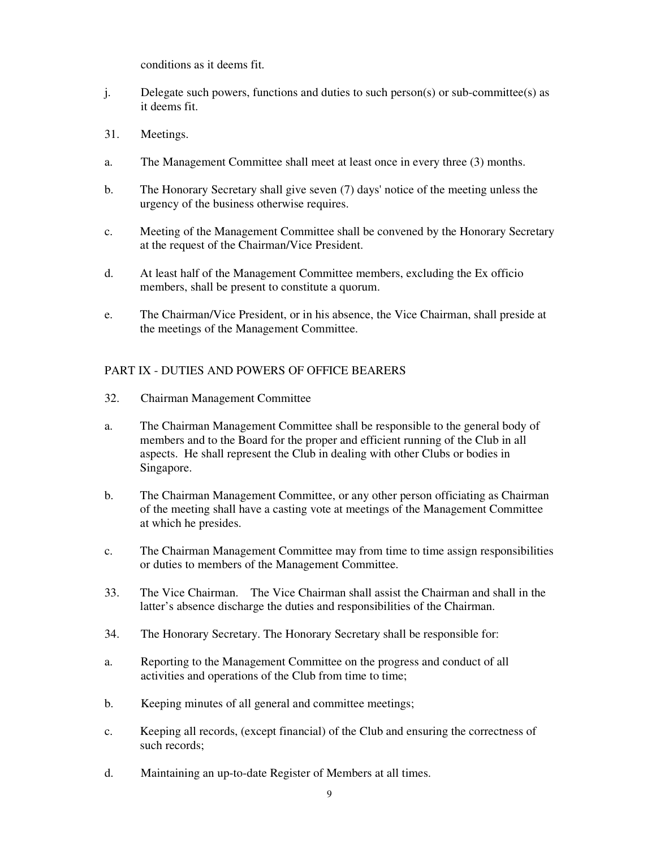conditions as it deems fit.

- j. Delegate such powers, functions and duties to such person(s) or sub-committee(s) as it deems fit.
- 31. Meetings.
- a. The Management Committee shall meet at least once in every three (3) months.
- b. The Honorary Secretary shall give seven (7) days' notice of the meeting unless the urgency of the business otherwise requires.
- c. Meeting of the Management Committee shall be convened by the Honorary Secretary at the request of the Chairman/Vice President.
- d. At least half of the Management Committee members, excluding the Ex officio members, shall be present to constitute a quorum.
- e. The Chairman/Vice President, or in his absence, the Vice Chairman, shall preside at the meetings of the Management Committee.

# PART IX - DUTIES AND POWERS OF OFFICE BEARERS

- 32. Chairman Management Committee
- a. The Chairman Management Committee shall be responsible to the general body of members and to the Board for the proper and efficient running of the Club in all aspects. He shall represent the Club in dealing with other Clubs or bodies in Singapore.
- b. The Chairman Management Committee, or any other person officiating as Chairman of the meeting shall have a casting vote at meetings of the Management Committee at which he presides.
- c. The Chairman Management Committee may from time to time assign responsibilities or duties to members of the Management Committee.
- 33. The Vice Chairman. The Vice Chairman shall assist the Chairman and shall in the latter's absence discharge the duties and responsibilities of the Chairman.
- 34. The Honorary Secretary. The Honorary Secretary shall be responsible for:
- a. Reporting to the Management Committee on the progress and conduct of all activities and operations of the Club from time to time;
- b. Keeping minutes of all general and committee meetings;
- c. Keeping all records, (except financial) of the Club and ensuring the correctness of such records;
- d. Maintaining an up-to-date Register of Members at all times.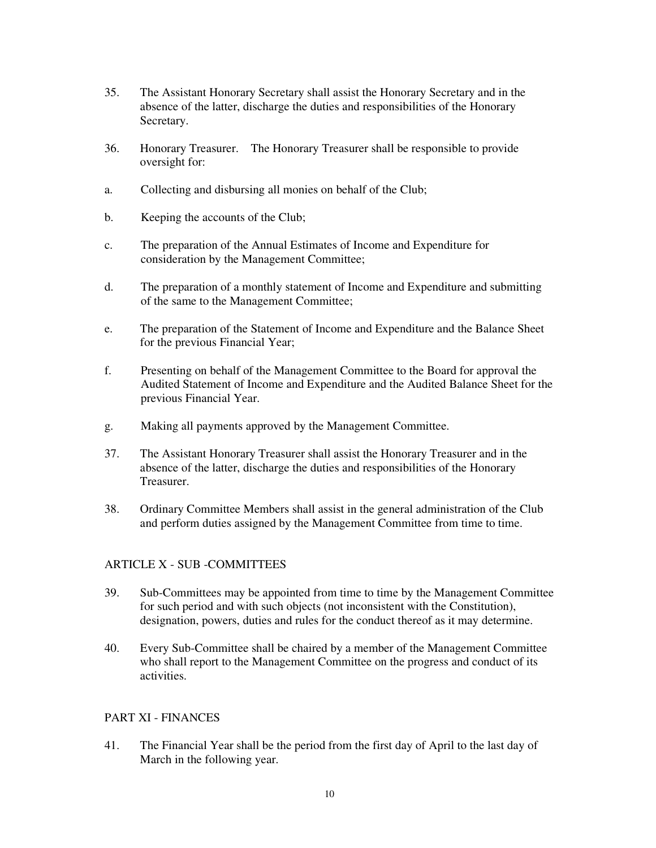- 35. The Assistant Honorary Secretary shall assist the Honorary Secretary and in the absence of the latter, discharge the duties and responsibilities of the Honorary Secretary.
- 36. Honorary Treasurer. The Honorary Treasurer shall be responsible to provide oversight for:
- a. Collecting and disbursing all monies on behalf of the Club;
- b. Keeping the accounts of the Club;
- c. The preparation of the Annual Estimates of Income and Expenditure for consideration by the Management Committee;
- d. The preparation of a monthly statement of Income and Expenditure and submitting of the same to the Management Committee;
- e. The preparation of the Statement of Income and Expenditure and the Balance Sheet for the previous Financial Year;
- f. Presenting on behalf of the Management Committee to the Board for approval the Audited Statement of Income and Expenditure and the Audited Balance Sheet for the previous Financial Year.
- g. Making all payments approved by the Management Committee.
- 37. The Assistant Honorary Treasurer shall assist the Honorary Treasurer and in the absence of the latter, discharge the duties and responsibilities of the Honorary Treasurer.
- 38. Ordinary Committee Members shall assist in the general administration of the Club and perform duties assigned by the Management Committee from time to time.

### ARTICLE X - SUB -COMMITTEES

- 39. Sub-Committees may be appointed from time to time by the Management Committee for such period and with such objects (not inconsistent with the Constitution), designation, powers, duties and rules for the conduct thereof as it may determine.
- 40. Every Sub-Committee shall be chaired by a member of the Management Committee who shall report to the Management Committee on the progress and conduct of its activities.

### PART XI - FINANCES

41. The Financial Year shall be the period from the first day of April to the last day of March in the following year.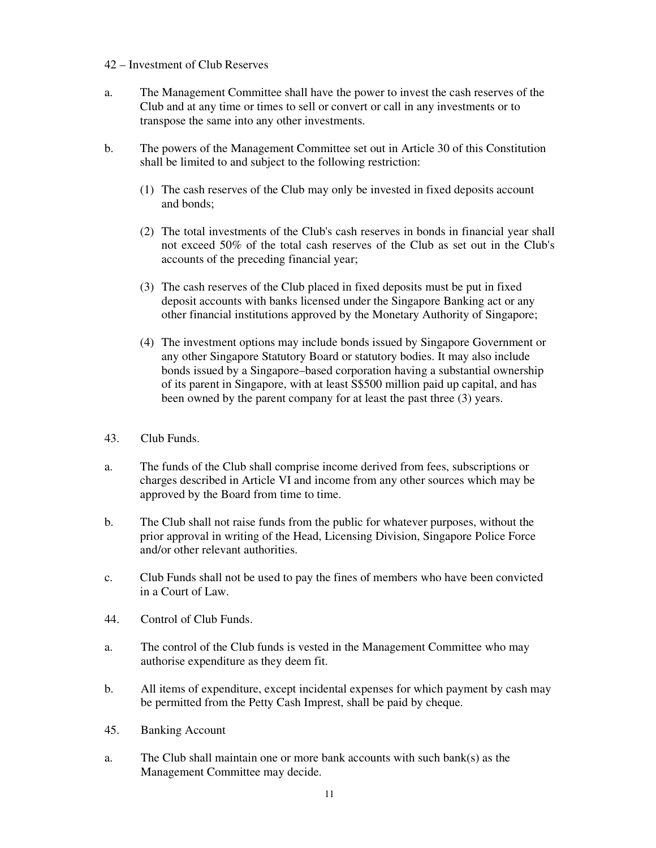### 42 – Investment of Club Reserves

- a. The Management Committee shall have the power to invest the cash reserves of the Club and at any time or times to sell or convert or call in any investments or to transpose the same into any other investments.
- b. The powers of the Management Committee set out in Article 30 of this Constitution shall be limited to and subject to the following restriction:
	- (1) The cash reserves of the Club may only be invested in fixed deposits account and bonds;
	- (2) The total investments of the Club's cash reserves in bonds in financial year shall not exceed 50% of the total cash reserves of the Club as set out in the Club's accounts of the preceding financial year;
	- (3) The cash reserves of the Club placed in fixed deposits must be put in fixed deposit accounts with banks licensed under the Singapore Banking act or any other financial institutions approved by the Monetary Authority of Singapore;
	- (4) The investment options may include bonds issued by Singapore Government or any other Singapore Statutory Board or statutory bodies. It may also include bonds issued by a Singapore–based corporation having a substantial ownership of its parent in Singapore, with at least S\$500 million paid up capital, and has been owned by the parent company for at least the past three (3) years.
- 43. Club Funds.
- a. The funds of the Club shall comprise income derived from fees, subscriptions or charges described in Article VI and income from any other sources which may be approved by the Board from time to time.
- b. The Club shall not raise funds from the public for whatever purposes, without the prior approval in writing of the Head, Licensing Division, Singapore Police Force and/or other relevant authorities.
- c. Club Funds shall not be used to pay the fines of members who have been convicted in a Court of Law.
- 44. Control of Club Funds.
- a. The control of the Club funds is vested in the Management Committee who may authorise expenditure as they deem fit.
- b. All items of expenditure, except incidental expenses for which payment by cash may be permitted from the Petty Cash Imprest, shall be paid by cheque.
- 45. Banking Account
- a. The Club shall maintain one or more bank accounts with such bank(s) as the Management Committee may decide.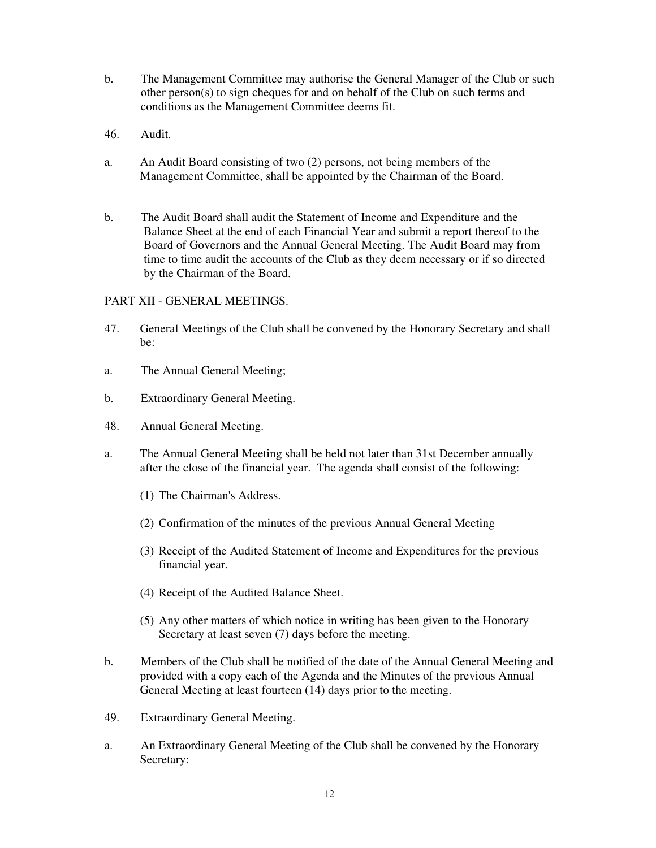- b. The Management Committee may authorise the General Manager of the Club or such other person(s) to sign cheques for and on behalf of the Club on such terms and conditions as the Management Committee deems fit.
- 46. Audit.
- a. An Audit Board consisting of two (2) persons, not being members of the Management Committee, shall be appointed by the Chairman of the Board.
- b. The Audit Board shall audit the Statement of Income and Expenditure and the Balance Sheet at the end of each Financial Year and submit a report thereof to the Board of Governors and the Annual General Meeting. The Audit Board may from time to time audit the accounts of the Club as they deem necessary or if so directed by the Chairman of the Board.

### PART XII - GENERAL MEETINGS.

- 47. General Meetings of the Club shall be convened by the Honorary Secretary and shall be:
- a. The Annual General Meeting;
- b. Extraordinary General Meeting.
- 48. Annual General Meeting.
- a. The Annual General Meeting shall be held not later than 31st December annually after the close of the financial year. The agenda shall consist of the following:
	- (1) The Chairman's Address.
	- (2) Confirmation of the minutes of the previous Annual General Meeting
	- (3) Receipt of the Audited Statement of Income and Expenditures for the previous financial year.
	- (4) Receipt of the Audited Balance Sheet.
	- (5) Any other matters of which notice in writing has been given to the Honorary Secretary at least seven (7) days before the meeting.
- b. Members of the Club shall be notified of the date of the Annual General Meeting and provided with a copy each of the Agenda and the Minutes of the previous Annual General Meeting at least fourteen (14) days prior to the meeting.
- 49. Extraordinary General Meeting.
- a. An Extraordinary General Meeting of the Club shall be convened by the Honorary Secretary: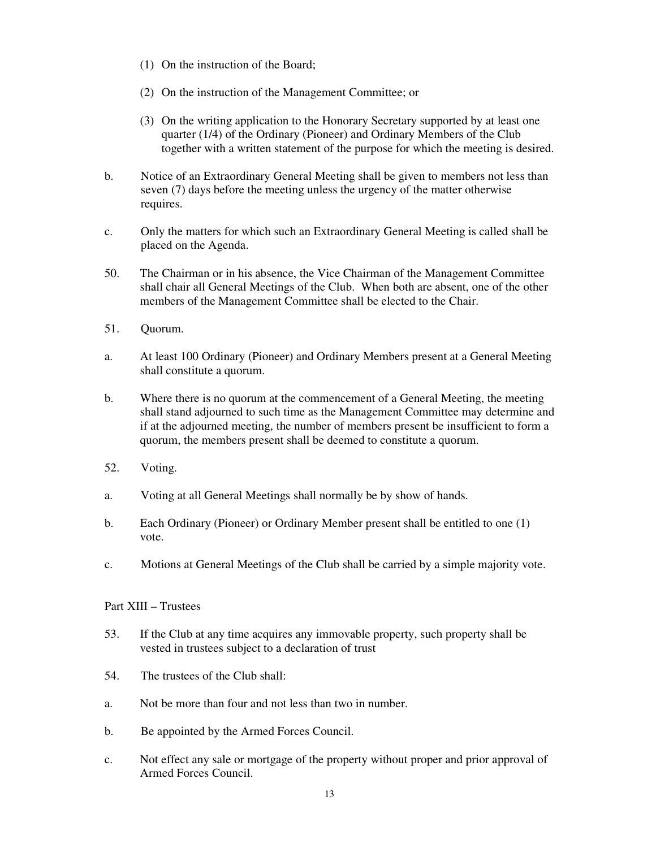- (1) On the instruction of the Board;
- (2) On the instruction of the Management Committee; or
- (3) On the writing application to the Honorary Secretary supported by at least one quarter (1/4) of the Ordinary (Pioneer) and Ordinary Members of the Club together with a written statement of the purpose for which the meeting is desired.
- b. Notice of an Extraordinary General Meeting shall be given to members not less than seven (7) days before the meeting unless the urgency of the matter otherwise requires.
- c. Only the matters for which such an Extraordinary General Meeting is called shall be placed on the Agenda.
- 50. The Chairman or in his absence, the Vice Chairman of the Management Committee shall chair all General Meetings of the Club. When both are absent, one of the other members of the Management Committee shall be elected to the Chair.
- 51. Quorum.
- a. At least 100 Ordinary (Pioneer) and Ordinary Members present at a General Meeting shall constitute a quorum.
- b. Where there is no quorum at the commencement of a General Meeting, the meeting shall stand adjourned to such time as the Management Committee may determine and if at the adjourned meeting, the number of members present be insufficient to form a quorum, the members present shall be deemed to constitute a quorum.
- 52. Voting.
- a. Voting at all General Meetings shall normally be by show of hands.
- b. Each Ordinary (Pioneer) or Ordinary Member present shall be entitled to one (1) vote.
- c. Motions at General Meetings of the Club shall be carried by a simple majority vote.

### Part XIII – Trustees

- 53. If the Club at any time acquires any immovable property, such property shall be vested in trustees subject to a declaration of trust
- 54. The trustees of the Club shall:
- a. Not be more than four and not less than two in number.
- b. Be appointed by the Armed Forces Council.
- c. Not effect any sale or mortgage of the property without proper and prior approval of Armed Forces Council.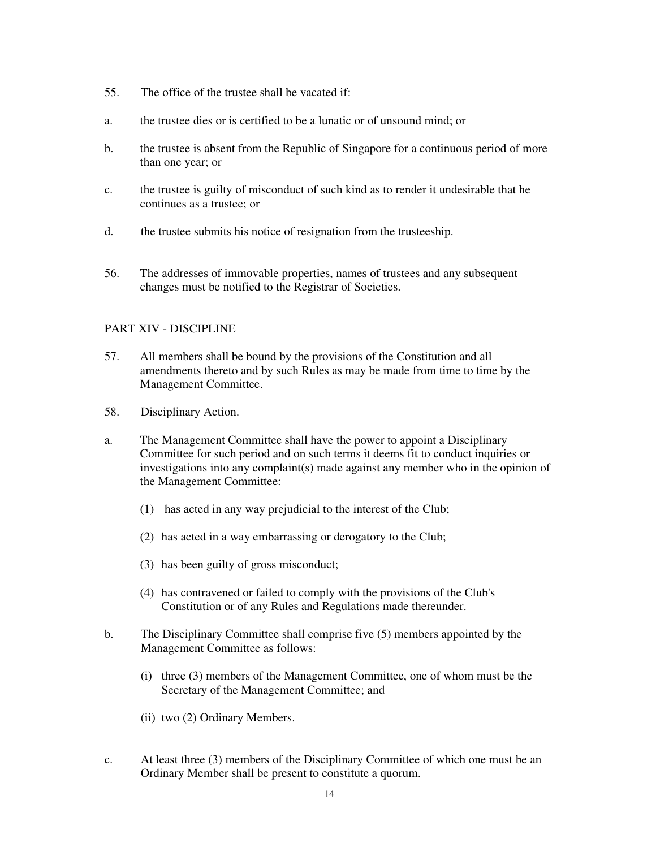- 55. The office of the trustee shall be vacated if:
- a. the trustee dies or is certified to be a lunatic or of unsound mind; or
- b. the trustee is absent from the Republic of Singapore for a continuous period of more than one year; or
- c. the trustee is guilty of misconduct of such kind as to render it undesirable that he continues as a trustee; or
- d. the trustee submits his notice of resignation from the trusteeship.
- 56. The addresses of immovable properties, names of trustees and any subsequent changes must be notified to the Registrar of Societies.

#### PART XIV - DISCIPLINE

- 57. All members shall be bound by the provisions of the Constitution and all amendments thereto and by such Rules as may be made from time to time by the Management Committee.
- 58. Disciplinary Action.
- a. The Management Committee shall have the power to appoint a Disciplinary Committee for such period and on such terms it deems fit to conduct inquiries or investigations into any complaint(s) made against any member who in the opinion of the Management Committee:
	- (1) has acted in any way prejudicial to the interest of the Club;
	- (2) has acted in a way embarrassing or derogatory to the Club;
	- (3) has been guilty of gross misconduct;
	- (4) has contravened or failed to comply with the provisions of the Club's Constitution or of any Rules and Regulations made thereunder.
- b. The Disciplinary Committee shall comprise five (5) members appointed by the Management Committee as follows:
	- (i) three (3) members of the Management Committee, one of whom must be the Secretary of the Management Committee; and
	- (ii) two (2) Ordinary Members.
- c. At least three (3) members of the Disciplinary Committee of which one must be an Ordinary Member shall be present to constitute a quorum.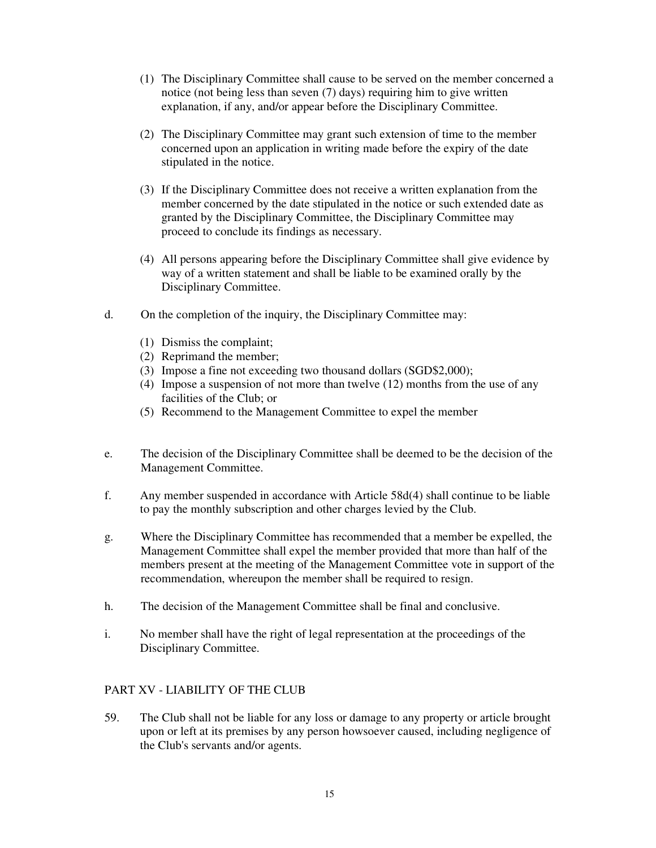- (1) The Disciplinary Committee shall cause to be served on the member concerned a notice (not being less than seven (7) days) requiring him to give written explanation, if any, and/or appear before the Disciplinary Committee.
- (2) The Disciplinary Committee may grant such extension of time to the member concerned upon an application in writing made before the expiry of the date stipulated in the notice.
- (3) If the Disciplinary Committee does not receive a written explanation from the member concerned by the date stipulated in the notice or such extended date as granted by the Disciplinary Committee, the Disciplinary Committee may proceed to conclude its findings as necessary.
- (4) All persons appearing before the Disciplinary Committee shall give evidence by way of a written statement and shall be liable to be examined orally by the Disciplinary Committee.
- d. On the completion of the inquiry, the Disciplinary Committee may:
	- (1) Dismiss the complaint;
	- (2) Reprimand the member;
	- (3) Impose a fine not exceeding two thousand dollars (SGD\$2,000);
	- (4) Impose a suspension of not more than twelve (12) months from the use of any facilities of the Club; or
	- (5) Recommend to the Management Committee to expel the member
- e. The decision of the Disciplinary Committee shall be deemed to be the decision of the Management Committee.
- f. Any member suspended in accordance with Article 58d(4) shall continue to be liable to pay the monthly subscription and other charges levied by the Club.
- g. Where the Disciplinary Committee has recommended that a member be expelled, the Management Committee shall expel the member provided that more than half of the members present at the meeting of the Management Committee vote in support of the recommendation, whereupon the member shall be required to resign.
- h. The decision of the Management Committee shall be final and conclusive.
- i. No member shall have the right of legal representation at the proceedings of the Disciplinary Committee.

# PART XV - LIABILITY OF THE CLUB

59. The Club shall not be liable for any loss or damage to any property or article brought upon or left at its premises by any person howsoever caused, including negligence of the Club's servants and/or agents.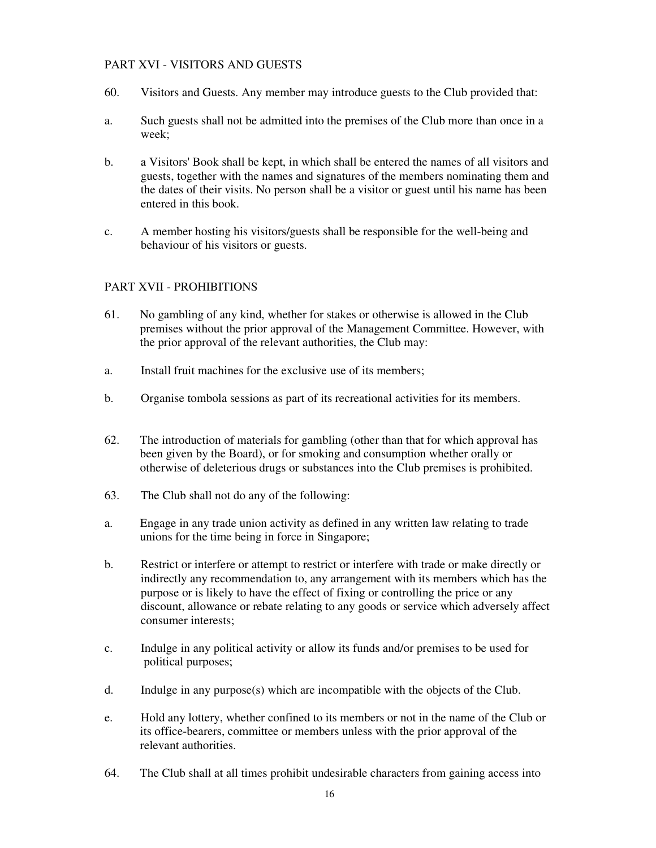# PART XVI - VISITORS AND GUESTS

- 60. Visitors and Guests. Any member may introduce guests to the Club provided that:
- a. Such guests shall not be admitted into the premises of the Club more than once in a week;
- b. a Visitors' Book shall be kept, in which shall be entered the names of all visitors and guests, together with the names and signatures of the members nominating them and the dates of their visits. No person shall be a visitor or guest until his name has been entered in this book.
- c. A member hosting his visitors/guests shall be responsible for the well-being and behaviour of his visitors or guests.

## PART XVII - PROHIBITIONS

- 61. No gambling of any kind, whether for stakes or otherwise is allowed in the Club premises without the prior approval of the Management Committee. However, with the prior approval of the relevant authorities, the Club may:
- a. Install fruit machines for the exclusive use of its members;
- b. Organise tombola sessions as part of its recreational activities for its members.
- 62. The introduction of materials for gambling (other than that for which approval has been given by the Board), or for smoking and consumption whether orally or otherwise of deleterious drugs or substances into the Club premises is prohibited.
- 63. The Club shall not do any of the following:
- a. Engage in any trade union activity as defined in any written law relating to trade unions for the time being in force in Singapore;
- b. Restrict or interfere or attempt to restrict or interfere with trade or make directly or indirectly any recommendation to, any arrangement with its members which has the purpose or is likely to have the effect of fixing or controlling the price or any discount, allowance or rebate relating to any goods or service which adversely affect consumer interests;
- c. Indulge in any political activity or allow its funds and/or premises to be used for political purposes;
- d. Indulge in any purpose(s) which are incompatible with the objects of the Club.
- e. Hold any lottery, whether confined to its members or not in the name of the Club or its office-bearers, committee or members unless with the prior approval of the relevant authorities.
- 64. The Club shall at all times prohibit undesirable characters from gaining access into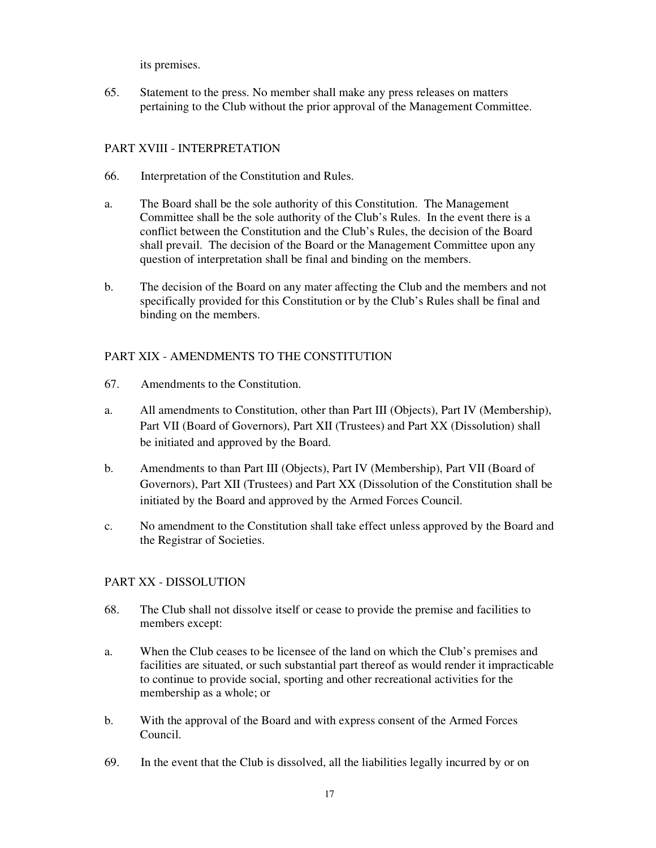its premises.

65. Statement to the press. No member shall make any press releases on matters pertaining to the Club without the prior approval of the Management Committee.

# PART XVIII - INTERPRETATION

- 66. Interpretation of the Constitution and Rules.
- a. The Board shall be the sole authority of this Constitution. The Management Committee shall be the sole authority of the Club's Rules. In the event there is a conflict between the Constitution and the Club's Rules, the decision of the Board shall prevail. The decision of the Board or the Management Committee upon any question of interpretation shall be final and binding on the members.
- b. The decision of the Board on any mater affecting the Club and the members and not specifically provided for this Constitution or by the Club's Rules shall be final and binding on the members.

# PART XIX - AMENDMENTS TO THE CONSTITUTION

- 67. Amendments to the Constitution.
- a. All amendments to Constitution, other than Part III (Objects), Part IV (Membership), Part VII (Board of Governors), Part XII (Trustees) and Part XX (Dissolution) shall be initiated and approved by the Board.
- b. Amendments to than Part III (Objects), Part IV (Membership), Part VII (Board of Governors), Part XII (Trustees) and Part XX (Dissolution of the Constitution shall be initiated by the Board and approved by the Armed Forces Council.
- c. No amendment to the Constitution shall take effect unless approved by the Board and the Registrar of Societies.

# PART XX - DISSOLUTION

- 68. The Club shall not dissolve itself or cease to provide the premise and facilities to members except:
- a. When the Club ceases to be licensee of the land on which the Club's premises and facilities are situated, or such substantial part thereof as would render it impracticable to continue to provide social, sporting and other recreational activities for the membership as a whole; or
- b. With the approval of the Board and with express consent of the Armed Forces Council.
- 69. In the event that the Club is dissolved, all the liabilities legally incurred by or on